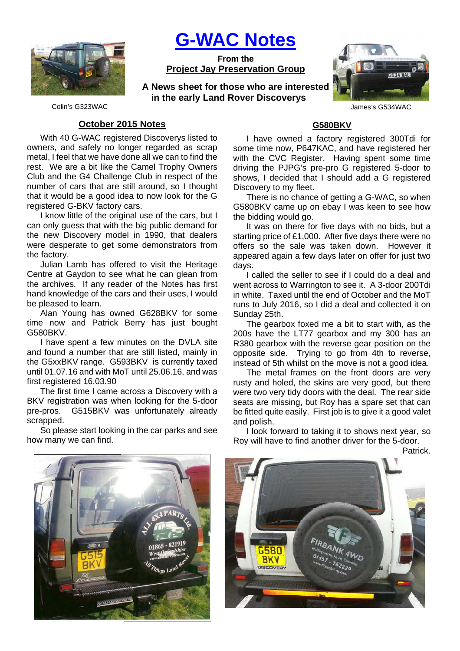

**G-WAC Notes**

**From the Project Jay Preservation Group**

**A News sheet for those who are interested in the early Land Rover Discoverys**



Colin's G323WAC James's G534WAC

## **October 2015 Notes**

With 40 G-WAC registered Discoverys listed to owners, and safely no longer regarded as scrap metal, I feel that we have done all we can to find the rest. We are a bit like the Camel Trophy Owners Club and the G4 Challenge Club in respect of the number of cars that are still around, so I thought that it would be a good idea to now look for the G registered G-BKV factory cars.

I know little of the original use of the cars, but I can only guess that with the big public demand for the new Discovery model in 1990, that dealers were desperate to get some demonstrators from the factory.

Julian Lamb has offered to visit the Heritage Centre at Gaydon to see what he can glean from the archives. If any reader of the Notes has first hand knowledge of the cars and their uses, I would be pleased to learn.

Alan Young has owned G628BKV for some time now and Patrick Berry has just bought G580BKV.

I have spent a few minutes on the DVLA site and found a number that are still listed, mainly in the G5xxBKV range. G593BKV is currently taxed until 01.07.16 and with MoT until 25.06.16, and was first registered 16.03.90

The first time I came across a Discovery with a BKV registration was when looking for the 5-door pre-pros. G515BKV was unfortunately already scrapped.

So please start looking in the car parks and see how many we can find.

## **G580BKV**

I have owned a factory registered 300Tdi for some time now, P647KAC, and have registered her with the CVC Register. Having spent some time driving the PJPG's pre-pro G registered 5-door to shows, I decided that I should add a G registered Discovery to my fleet.

There is no chance of getting a G-WAC, so when G580BKV came up on ebay I was keen to see how the bidding would go.

It was on there for five days with no bids, but a starting price of £1,000. After five days there were no offers so the sale was taken down. However it appeared again a few days later on offer for just two days.

I called the seller to see if I could do a deal and went across to Warrington to see it. A 3-door 200Tdi in white. Taxed until the end of October and the MoT runs to July 2016, so I did a deal and collected it on Sunday 25th.

The gearbox foxed me a bit to start with, as the 200s have the LT77 gearbox and my 300 has an R380 gearbox with the reverse gear position on the opposite side. Trying to go from 4th to reverse, instead of 5th whilst on the move is not a good idea.

The metal frames on the front doors are very rusty and holed, the skins are very good, but there were two very tidy doors with the deal. The rear side seats are missing, but Roy has a spare set that can be fitted quite easily. First job is to give it a good valet and polish.

I look forward to taking it to shows next year, so Roy will have to find another driver for the 5-door.

Patrick.



6580 **BKV DISCOVED**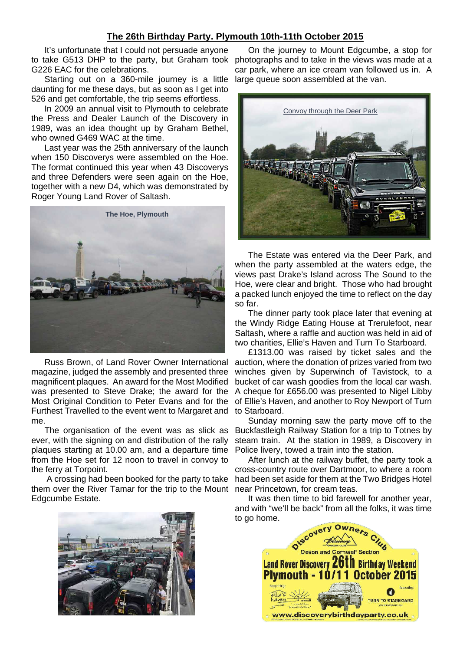### **The 26th Birthday Party. Plymouth 10th-11th October 2015**

It's unfortunate that I could not persuade anyone to take G513 DHP to the party, but Graham took photographs and to take in the views was made at a G226 EAC for the celebrations.

Starting out on a 360-mile journey is a little daunting for me these days, but as soon as I get into 526 and get comfortable, the trip seems effortless.

In 2009 an annual visit to Plymouth to celebrate the Press and Dealer Launch of the Discovery in 1989, was an idea thought up by Graham Bethel, who owned G469 WAC at the time.

Last year was the 25th anniversary of the launch when 150 Discoverys were assembled on the Hoe. The format continued this year when 43 Discoverys and three Defenders were seen again on the Hoe, together with a new D4, which was demonstrated by Roger Young Land Rover of Saltash.



Russ Brown, of Land Rover Owner International magazine, judged the assembly and presented three magnificent plaques. An award for the Most Modified was presented to Steve Drake; the award for the Most Original Condition to Peter Evans and for the Furthest Travelled to the event went to Margaret and to Starboard. me.

The organisation of the event was as slick as ever, with the signing on and distribution of the rally plaques starting at 10.00 am, and a departure time from the Hoe set for 12 noon to travel in convoy to the ferry at Torpoint.

 A crossing had been booked for the party to take them over the River Tamar for the trip to the Mount Edgcumbe Estate.



On the journey to Mount Edgcumbe, a stop for car park, where an ice cream van followed us in. A large queue soon assembled at the van.



The Estate was entered via the Deer Park, and when the party assembled at the waters edge, the views past Drake's Island across The Sound to the Hoe, were clear and bright. Those who had brought a packed lunch enjoyed the time to reflect on the day so far.

The dinner party took place later that evening at the Windy Ridge Eating House at Trerulefoot, near Saltash, where a raffle and auction was held in aid of two charities, Ellie's Haven and Turn To Starboard.

£1313.00 was raised by ticket sales and the auction, where the donation of prizes varied from two winches given by Superwinch of Tavistock, to a bucket of car wash goodies from the local car wash. A cheque for £656.00 was presented to Nigel Libby of Ellie's Haven, and another to Roy Newport of Turn

Sunday morning saw the party move off to the Buckfastleigh Railway Station for a trip to Totnes by steam train. At the station in 1989, a Discovery in Police livery, towed a train into the station.

After lunch at the railway buffet, the party took a cross-country route over Dartmoor, to where a room had been set aside for them at the Two Bridges Hotel near Princetown, for cream teas.

It was then time to bid farewell for another year, and with "we'll be back" from all the folks, it was time to go home.

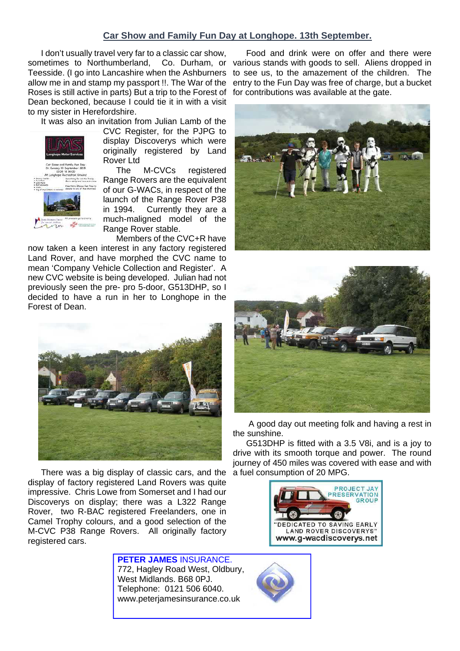# **Car Show and Family Fun Day at Longhope. 13th September.**

I don't usually travel very far to a classic car show, sometimes to Northumberland, Co. Durham, or various stands with goods to sell. Aliens dropped in Teesside. (I go into Lancashire when the Ashburners allow me in and stamp my passport !!. The War of the Roses is still active in parts) But a trip to the Forest of Dean beckoned, because I could tie it in with a visit to my sister in Herefordshire.

It was also an invitation from Julian Lamb of the



CVC Register, for the PJPG to display Discoverys which were originally registered by Land Rover Ltd

The M-CVCs registered Range Rovers are the equivalent of our G-WACs, in respect of the launch of the Range Rover P38 in 1994. Currently they are a much-maligned model of the Range Rover stable.

Members of the CVC+R have now taken a keen interest in any factory registered Land Rover, and have morphed the CVC name to mean 'Company Vehicle Collection and Register'. A new CVC website is being developed. Julian had not previously seen the pre- pro 5-door, G513DHP, so I decided to have a run in her to Longhope in the Forest of Dean.



There was a big display of classic cars, and the display of factory registered Land Rovers was quite impressive. Chris Lowe from Somerset and I had our Discoverys on display; there was a L322 Range Rover, two R-BAC registered Freelanders, one in Camel Trophy colours, and a good selection of the M-CVC P38 Range Rovers. All originally factory registered cars.

> **PETER JAMES** INSURANCE. 772, Hagley Road West, Oldbury, West Midlands. B68 0PJ. Telephone: 0121 506 6040. www.peterjamesinsurance.co.uk

Food and drink were on offer and there were to see us, to the amazement of the children. The entry to the Fun Day was free of charge, but a bucket for contributions was available at the gate.





 A good day out meeting folk and having a rest in the sunshine.

G513DHP is fitted with a 3.5 V8i, and is a joy to drive with its smooth torque and power. The round journey of 450 miles was covered with ease and with a fuel consumption of 20 MPG.